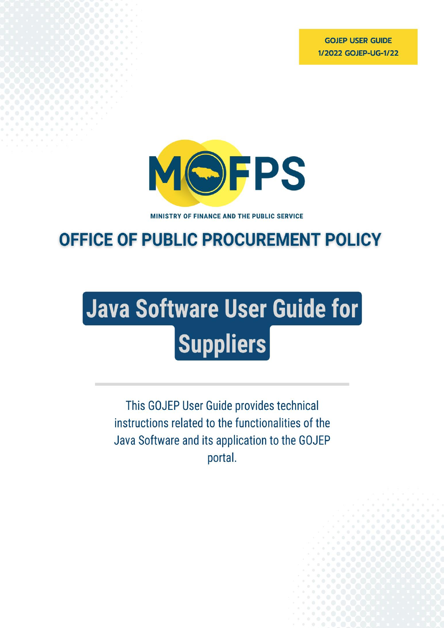**GOJEP USER GUIDE** 1/2022 GOJEP-UG-1/22



MINISTRY OF FINANCE AND THE PUBLIC SERVICE

# **OFFICE OF PUBLIC PROCUREMENT POLICY**

# Java Software User Guide for **Suppliers**

<span id="page-0-0"></span>This GOJEP User Guide provides technical instructions related to the functionalities of the Java Software and its application to the GOJEP portal.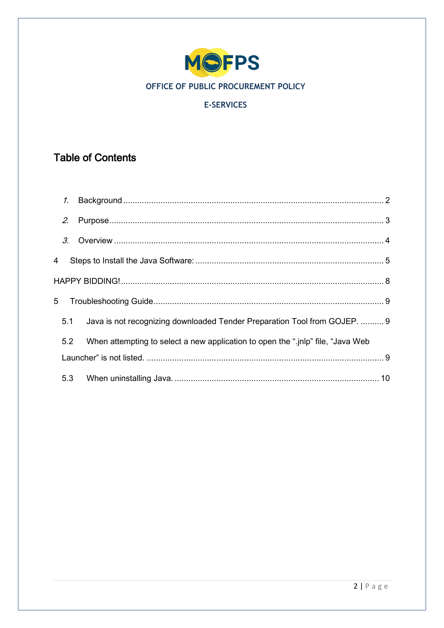

# **E-SERVICES**

# **Table of Contents**

|   | $\mathcal{I}$ . |                                                                                  |  |
|---|-----------------|----------------------------------------------------------------------------------|--|
|   | 2.              |                                                                                  |  |
|   | 3.              |                                                                                  |  |
| 4 |                 |                                                                                  |  |
|   |                 |                                                                                  |  |
| 5 |                 |                                                                                  |  |
|   | 5.1             | Java is not recognizing downloaded Tender Preparation Tool from GOJEP.  9        |  |
|   | 5.2             | When attempting to select a new application to open the ".jnlp" file, "Java Web" |  |
|   |                 |                                                                                  |  |
|   | 5.3             |                                                                                  |  |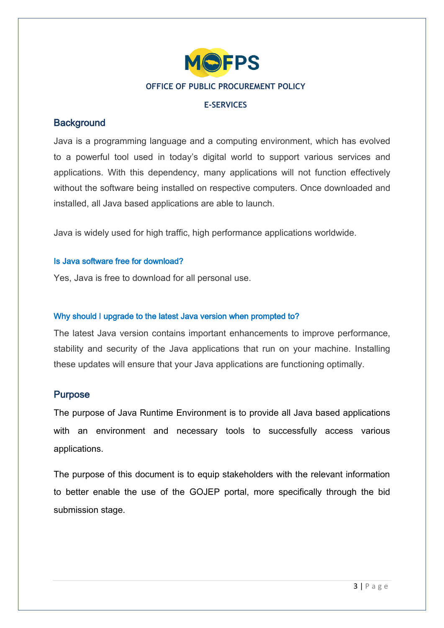

## **E-SERVICES**

# **Background**

Java is a programming language and a computing environment, which has evolved to a powerful tool used in today's digital world to support various services and applications. With this dependency, many applications will not function effectively without the software being installed on respective computers. Once downloaded and installed, all Java based applications are able to launch.

Java is widely used for high traffic, high performance applications worldwide.

# Is Java software free for download?

Yes, Java is free to download for all personal use.

# Why should I upgrade to the latest Java version when prompted to?

The latest Java version contains important enhancements to improve performance, stability and security of the Java applications that run on your machine. Installing these updates will ensure that your Java applications are functioning optimally.

# <span id="page-2-0"></span>Purpose

The purpose of Java Runtime Environment is to provide all Java based applications with an environment and necessary tools to successfully access various applications.

The purpose of this document is to equip stakeholders with the relevant information to better enable the use of the GOJEP portal, more specifically through the bid submission stage.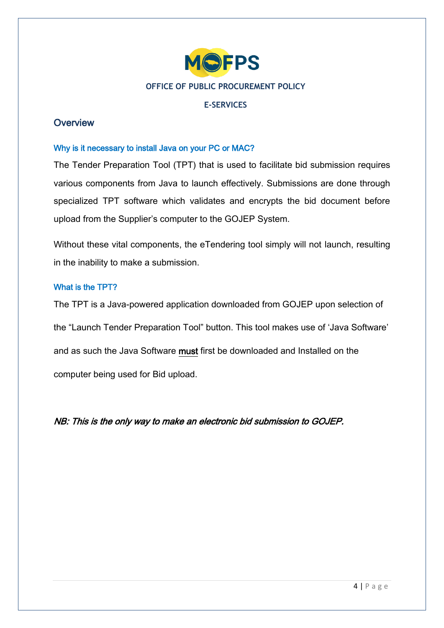

# **E-SERVICES**

# <span id="page-3-0"></span>**Overview**

# Why is it necessary to install Java on your PC or MAC?

The Tender Preparation Tool (TPT) that is used to facilitate bid submission requires various components from Java to launch effectively. Submissions are done through specialized TPT software which validates and encrypts the bid document before upload from the Supplier's computer to the GOJEP System.

Without these vital components, the eTendering tool simply will not launch, resulting in the inability to make a submission.

# What is the TPT?

The TPT is a Java-powered application downloaded from GOJEP upon selection of the "Launch Tender Preparation Tool" button. This tool makes use of 'Java Software' and as such the Java Software must first be downloaded and Installed on the computer being used for Bid upload.

NB: This is the only way to make an electronic bid submission to GOJEP.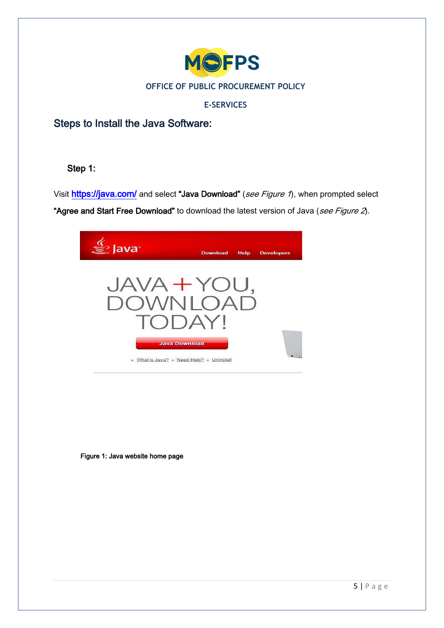

# **E-SERVICES**

<span id="page-4-0"></span>Steps to Install the Java Software:

# Step 1:

Visit <https://java.com/> and select "Java Download" (see Figure 1), when prompted select "Agree and Start Free Download" to download the latest version of Java (see Figure 2).



Figure 1: Java website home page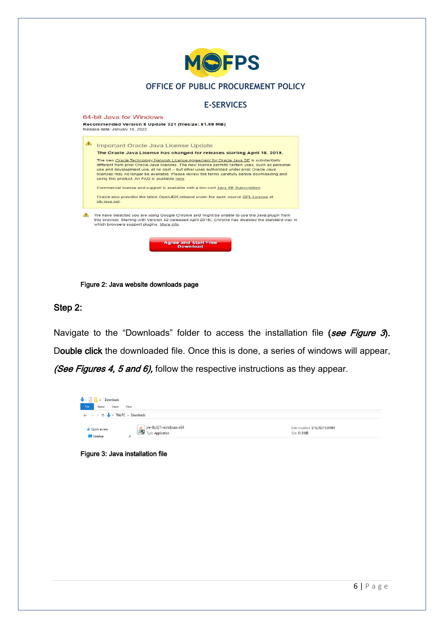

Figure 2: Java website downloads page

## Step 2:

Navigate to the "Downloads" folder to access the installation file (see Figure 3). Double click the downloaded file. Once this is done, a series of windows will appear, (See Figures 4, 5 and 6), follow the respective instructions as they appear.



#### Figure 3: Java installation file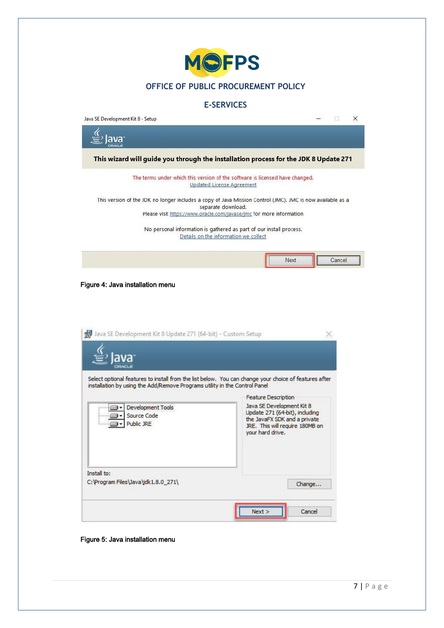

#### **E-SERVICES**

Java SE Development Kit 8 - Setup  $\Box$  $\times$ Ø lava This wizard will guide you through the installation process for the JDK 8 Update 271 The terms under which this version of the software is licensed have changed. Updated License Agreement This version of the JDK no longer includes a copy of Java Mission Control (JMC). JMC is now available as a separate download. Please visit https://www.oracle.com/javase/jmc for more information No personal information is gathered as part of our install process. Details on the information we collect Next Cancel Figure 4: Java installation menu Java SE Development Kit 8 Update 271 (64-bit) - Custom Setup X ava Select optional features to install from the list below. You can change your choice of features after installation by using the Add/Remove Programs utility in the Control Panel **Feature Description** Java SE Development Kit 8 Development Tools Update 271 (64-bit), including  $\bigcirc$ Source Code the JavaFX SDK and a private Public JRE  $\Box$ JRE. This will require 180MB on your hard drive. Install to: C:\Program Files\Java\jdk1.8.0\_271\

Figure 5: Java installation menu

Change...

Cancel

 $Next$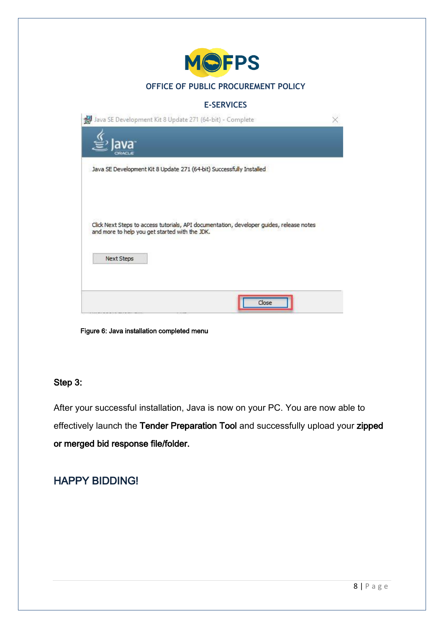| <b>MOFPS</b>                                                                                                                               |  |
|--------------------------------------------------------------------------------------------------------------------------------------------|--|
| OFFICE OF PUBLIC PROCUREMENT POLICY                                                                                                        |  |
| <b>E-SERVICES</b>                                                                                                                          |  |
| Java SE Development Kit 8 Update 271 (64-bit) - Complete                                                                                   |  |
|                                                                                                                                            |  |
| Java SE Development Kit 8 Update 271 (64-bit) Successfully Installed                                                                       |  |
| Click Next Steps to access tutorials, API documentation, developer guides, release notes<br>and more to help you get started with the JDK. |  |
| <b>Next Steps</b>                                                                                                                          |  |
| Close                                                                                                                                      |  |

Figure 6: Java installation completed menu

# Step 3:

After your successful installation, Java is now on your PC. You are now able to effectively launch the Tender Preparation Tool and successfully upload your zipped or merged bid response file/folder.

# <span id="page-7-0"></span>HAPPY BIDDING!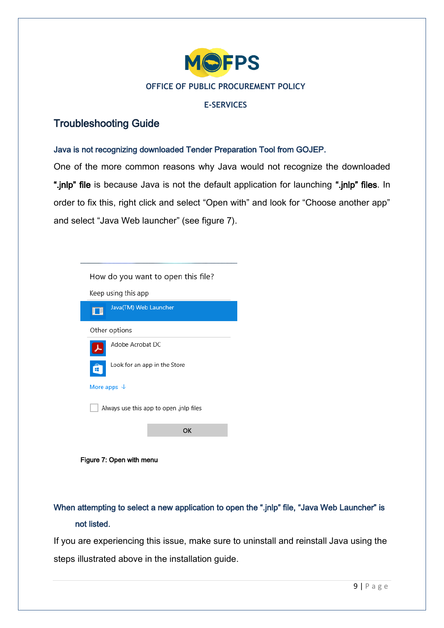

## **E-SERVICES**

# <span id="page-8-0"></span>Troubleshooting Guide

# <span id="page-8-1"></span>Java is not recognizing downloaded Tender Preparation Tool from GOJEP.

One of the more common reasons why Java would not recognize the downloaded ".jnlp" file is because Java is not the default application for launching ".jnlp" files. In order to fix this, right click and select "Open with" and look for "Choose another app" and select "Java Web launcher" (see figure 7).

|                                         | How do you want to open this file? |  |  |  |  |  |  |
|-----------------------------------------|------------------------------------|--|--|--|--|--|--|
|                                         | Keep using this app                |  |  |  |  |  |  |
|                                         | Java(TM) Web Launcher              |  |  |  |  |  |  |
|                                         | Other options                      |  |  |  |  |  |  |
|                                         | Adobe Acrobat DC                   |  |  |  |  |  |  |
|                                         | Look for an app in the Store       |  |  |  |  |  |  |
| More apps $\downarrow$                  |                                    |  |  |  |  |  |  |
| Always use this app to open .jnlp files |                                    |  |  |  |  |  |  |
|                                         | OK                                 |  |  |  |  |  |  |
|                                         |                                    |  |  |  |  |  |  |

Figure 7: Open with menu

# <span id="page-8-2"></span>When attempting to select a new application to open the ".jnlp" file, "Java Web Launcher" is not listed.

If you are experiencing this issue, make sure to uninstall and reinstall Java using the steps illustrated above in the installation guide.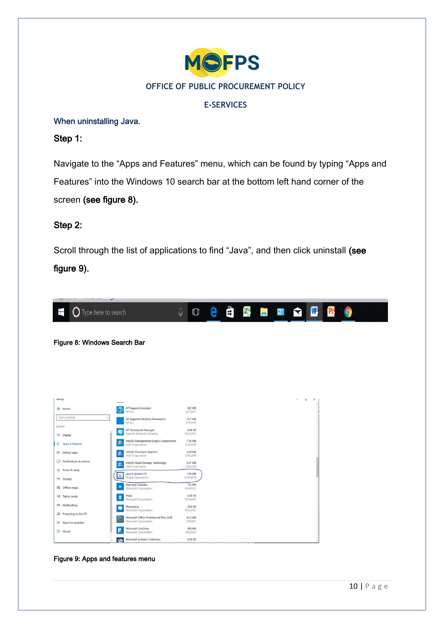

# **E-SERVICES**

## <span id="page-9-0"></span>When uninstalling Java.

Step 1:

Navigate to the "Apps and Features" menu, which can be found by typing "Apps and Features" into the Windows 10 search bar at the bottom left hand corner of the screen (see figure 8).

# Step 2:

Scroll through the list of applications to find "Java", and then click uninstall (see

figure 9).



Figure 8: Windows Search Bar

| <b>Settings</b>              |                                                                               |                      |  | <b>LI</b> | $\times$ |
|------------------------------|-------------------------------------------------------------------------------|----------------------|--|-----------|----------|
| @ Home                       | <b>HP Support Assistant</b><br>$\circled{c}$<br>HP Inc.                       | 122 MB<br>2/7/2017   |  |           |          |
| p.<br>Find a setting         | <b>HP Support Solutions Framework</b><br>HP Inc.                              | 14.7 MB<br>2/7/2017  |  |           |          |
| System                       |                                                                               |                      |  |           |          |
| $\nabla$ Display             | HP Touchpoint Manager<br>Hewlett-Packard Company                              | 8.00 KB<br>10/4/2021 |  |           |          |
| E Apps & features            | Intel(R) Management Engine Components<br>瘍<br>Intel Corporation               | 7.16 MB<br>3/11/2019 |  |           |          |
| 15 Default apps              | Intel(R) Processor Graphics<br>傿<br>Intel Corporation                         | 3.64 MB<br>3/11/2019 |  |           |          |
| Q<br>Notifications & actions | Intel(R) Rapid Storage Technology<br>屬                                        | 3.57 MB              |  |           |          |
| Power & sleep<br>$\circ$     | Intel Corporation<br>Java 8 Update 211                                        | 3/11/2019<br>210 MB  |  |           |          |
| = Storage                    | 避<br>Oracle Corporation                                                       | 6/19/2019            |  |           |          |
| Offline maps                 | Mail and Calendar<br>$\bullet$<br>Microsoft Corporation                       | 115 MB<br>10/4/2021  |  |           |          |
| <b>GB</b><br>Tablet mode     | Maps<br>$\Omega$<br>Microsoft Corporation                                     | 8.00 KB<br>10/4/2021 |  |           |          |
| I Multitasking               | Messaging<br>Microsoft Corporation                                            | 28.0 KB              |  |           |          |
| Projecting to this PC        |                                                                               | 10/4/2021            |  |           |          |
| Apps for websites<br>$\Box$  | Microsoft Office Professional Plus 2010<br><b>Ra</b><br>Microsoft Corporation | 42.2 MB<br>1/8/2021  |  |           |          |
| © About                      | Microsoft OneDrive<br>Ρ<br>Microsoft Corporation                              | 189 MB<br>3/8/2022   |  |           |          |
|                              | Microsoft Solitaire Collection<br>$\mathbf{w}$                                | 8,00 KB              |  |           |          |

Figure 9: Apps and features menu